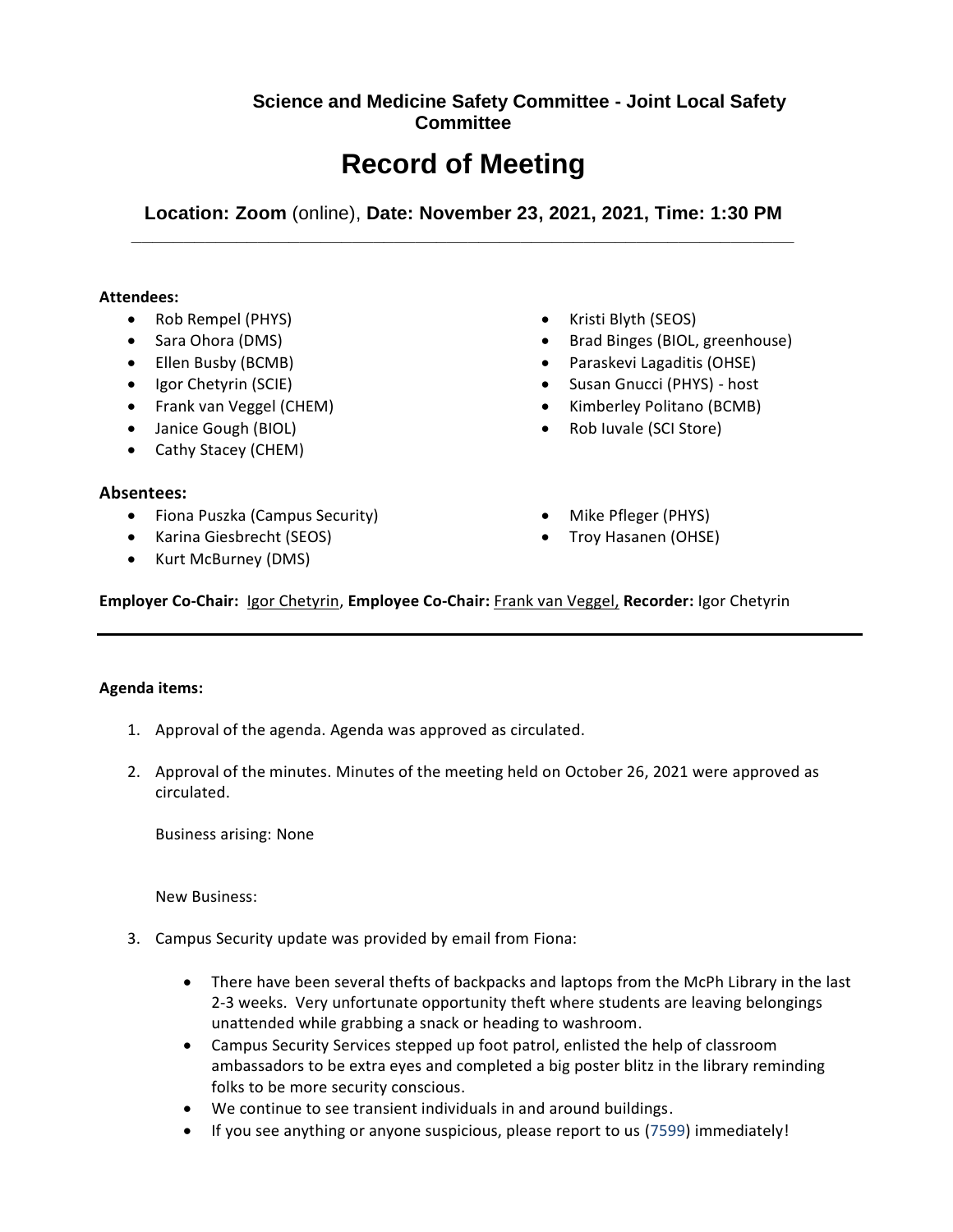## **Science and Medicine Safety Committee - Joint Local Safety Committee**

# **Record of Meeting**

**Location: Zoom** (online), **Date: November 23, 2021, 2021, Time: 1:30 PM \_\_\_\_\_\_\_\_\_\_\_\_\_\_\_\_\_\_\_\_\_\_\_\_\_\_\_\_\_\_\_\_\_\_\_\_\_\_\_\_\_\_\_\_\_\_\_\_\_\_\_\_\_\_\_\_\_\_\_\_\_\_\_**

### **Attendees:**

- Rob Rempel (PHYS)
- Sara Ohora (DMS)
- Ellen Busby (BCMB)
- Igor Chetyrin (SCIE)
- Frank van Veggel (CHEM)
- Janice Gough (BIOL)
- Cathy Stacey (CHEM)

### **Absentees:**

- Fiona Puszka (Campus Security)
- Karina Giesbrecht (SEOS)
- Kurt McBurney (DMS)
- Kristi Blyth (SEOS)
- Brad Binges (BIOL, greenhouse)
- Paraskevi Lagaditis (OHSE)
- Susan Gnucci (PHYS) host
- Kimberley Politano (BCMB)
- Rob Iuvale (SCI Store)
- Mike Pfleger (PHYS)
- Troy Hasanen (OHSE)

**Employer Co-Chair:** Igor Chetyrin, **Employee Co-Chair:** Frank van Veggel, **Recorder:** Igor Chetyrin

### **Agenda items:**

- 1. Approval of the agenda. Agenda was approved as circulated.
- 2. Approval of the minutes. Minutes of the meeting held on October 26, 2021 were approved as circulated.

Business arising: None

New Business:

- 3. Campus Security update was provided by email from Fiona:
	- There have been several thefts of backpacks and laptops from the McPh Library in the last 2-3 weeks. Very unfortunate opportunity theft where students are leaving belongings unattended while grabbing a snack or heading to washroom.
	- Campus Security Services stepped up foot patrol, enlisted the help of classroom ambassadors to be extra eyes and completed a big poster blitz in the library reminding folks to be more security conscious.
	- We continue to see transient individuals in and around buildings.
	- If you see anything or anyone suspicious, please report to us (7599) immediately!